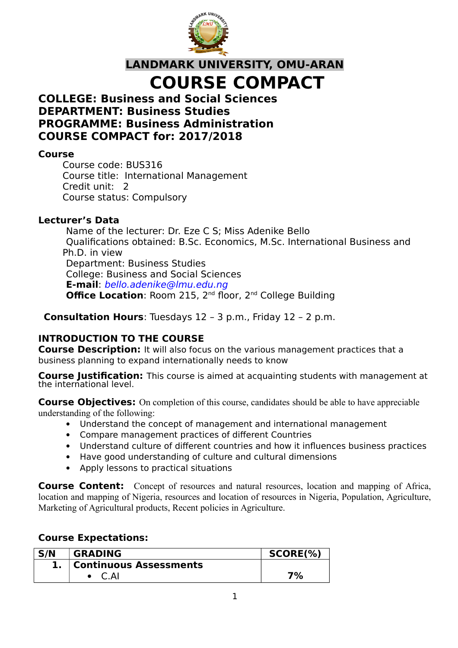

**LANDMARK UNIVERSITY, OMU-ARAN COURSE COMPACT**

## **COLLEGE: Business and Social Sciences DEPARTMENT: Business Studies PROGRAMME: Business Administration COURSE COMPACT for: 2017/2018**

#### **Course**

Course code: BUS316 Course title: International Management Credit unit: 2 Course status: Compulsory

#### **Lecturer's Data**

Name of the lecturer: Dr. Eze C S; Miss Adenike Bello Qualifications obtained: B.Sc. Economics, M.Sc. International Business and Ph.D. in view Department: Business Studies College: Business and Social Sciences **E-mail**: bello.adenike@lmu.edu.ng **Office Location: Room 215, 2<sup>nd</sup> floor, 2<sup>nd</sup> College Building** 

**Consultation Hours**: Tuesdays 12 – 3 p.m., Friday 12 – 2 p.m.

## **INTRODUCTION TO THE COURSE**

**Course Description:** It will also focus on the various management practices that a business planning to expand internationally needs to know

**Course Justification:** This course is aimed at acquainting students with management at the international level.

**Course Objectives:** On completion of this course, candidates should be able to have appreciable understanding of the following:

- Understand the concept of management and international management
- Compare management practices of different Countries
- Understand culture of different countries and how it influences business practices
- Have good understanding of culture and cultural dimensions
- Apply lessons to practical situations

**Course Content:** Concept of resources and natural resources, location and mapping of Africa, location and mapping of Nigeria, resources and location of resources in Nigeria, Population, Agriculture, Marketing of Agricultural products, Recent policies in Agriculture.

## **Course Expectations:**

| S/N | <b>GRADING</b>                | $SCORE(\%)$ |
|-----|-------------------------------|-------------|
|     | <b>Continuous Assessments</b> |             |
|     |                               | 7%          |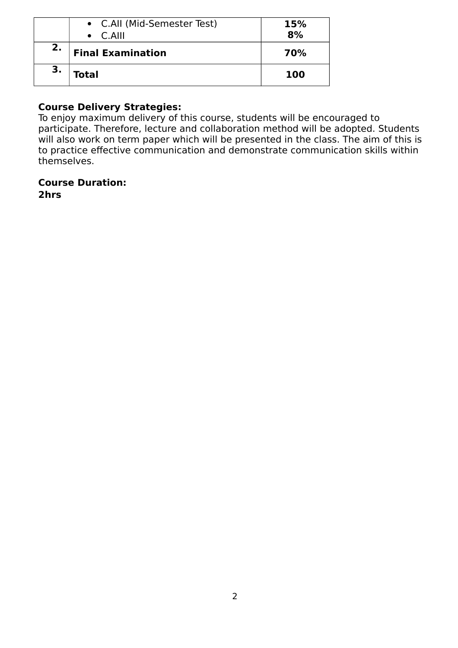|    | • C.All (Mid-Semester Test)<br>$\bullet$ C.AIII | 15%<br>8%  |
|----|-------------------------------------------------|------------|
| 2. | <b>Final Examination</b>                        | 70%        |
|    | Total                                           | <b>100</b> |

## **Course Delivery Strategies:**

To enjoy maximum delivery of this course, students will be encouraged to participate. Therefore, lecture and collaboration method will be adopted. Students will also work on term paper which will be presented in the class. The aim of this is to practice effective communication and demonstrate communication skills within themselves.

#### **Course Duration:**

**2hrs**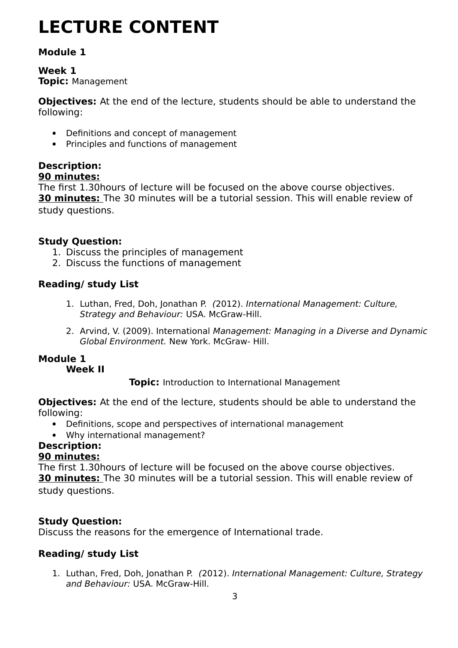# **LECTURE CONTENT**

## **Module 1**

#### **Week 1 Topic:** Management

**Objectives:** At the end of the lecture, students should be able to understand the following:

- Definitions and concept of management
- Principles and functions of management

## **Description:**

#### **90 minutes:** The first 1.30hours of lecture will be focused on the above course objectives. **30 minutes:** The 30 minutes will be a tutorial session. This will enable review of study questions.

## **Study Question:**

- 1. Discuss the principles of management
- 2. Discuss the functions of management

## **Reading/ study List**

- 1. Luthan, Fred, Doh, Jonathan P. (2012). International Management: Culture, Strategy and Behaviour: USA. McGraw-Hill.
- 2. Arvind, V. (2009). International Management: Managing in a Diverse and Dynamic Global Environment. New York. McGraw- Hill.

## **Module 1**

## **Week II**

**Topic:** Introduction to International Management

**Objectives:** At the end of the lecture, students should be able to understand the following:

- Definitions, scope and perspectives of international management
- Why international management?

## **Description:**

## **90 minutes:**

The first 1.30hours of lecture will be focused on the above course objectives. **30 minutes:** The 30 minutes will be a tutorial session. This will enable review of study questions.

## **Study Question:**

Discuss the reasons for the emergence of International trade.

## **Reading/ study List**

1. Luthan, Fred, Doh, Jonathan P. (2012). International Management: Culture, Strategy and Behaviour: USA. McGraw-Hill.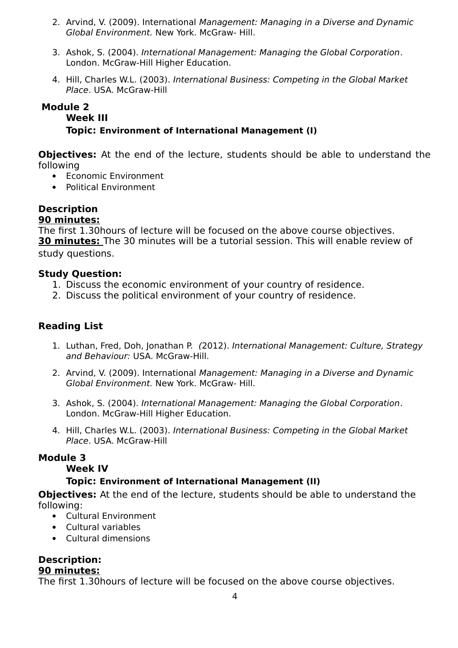- 2. Arvind, V. (2009). International Management: Managing in a Diverse and Dynamic Global Environment. New York. McGraw- Hill.
- 3. Ashok, S. (2004). International Management: Managing the Global Corporation. London. McGraw-Hill Higher Education.
- 4. Hill, Charles W.L. (2003). International Business: Competing in the Global Market Place. USA. McGraw-Hill

## **Module 2**

#### **Week III**

#### **Topic: Environment of International Management (I)**

**Objectives:** At the end of the lecture, students should be able to understand the following

- Economic Environment
- Political Environment

#### **Description 90 minutes:**

The first 1.30hours of lecture will be focused on the above course objectives. **30 minutes:** The 30 minutes will be a tutorial session. This will enable review of study questions.

#### **Study Question:**

- 1. Discuss the economic environment of your country of residence.
- 2. Discuss the political environment of your country of residence.

## **Reading List**

- 1. Luthan, Fred, Doh, Jonathan P. (2012). International Management: Culture, Strategy and Behaviour: USA. McGraw-Hill.
- 2. Arvind, V. (2009). International Management: Managing in a Diverse and Dynamic Global Environment. New York. McGraw- Hill.
- 3. Ashok, S. (2004). International Management: Managing the Global Corporation. London. McGraw-Hill Higher Education.
- 4. Hill, Charles W.L. (2003). International Business: Competing in the Global Market Place. USA. McGraw-Hill

#### **Module 3**

#### **Week IV**

## **Topic: Environment of International Management (II)**

**Objectives:** At the end of the lecture, students should be able to understand the following:

- Cultural Environment
- Cultural variables
- Cultural dimensions

## **Description:**

#### **90 minutes:**

The first 1.30hours of lecture will be focused on the above course objectives.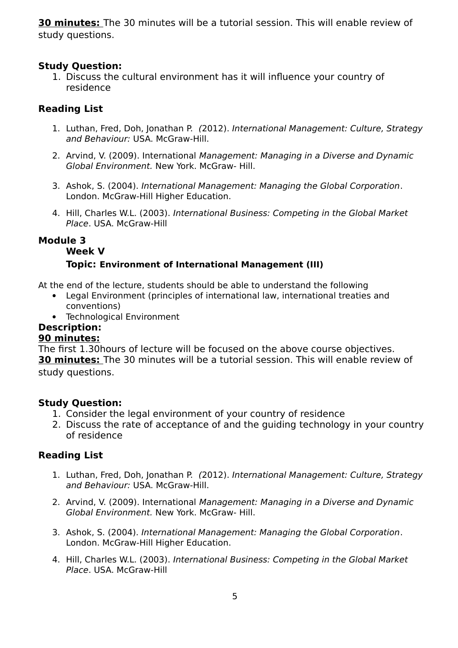**30 minutes:** The 30 minutes will be a tutorial session. This will enable review of study questions.

### **Study Question:**

1. Discuss the cultural environment has it will influence your country of residence

## **Reading List**

- 1. Luthan, Fred, Doh, Jonathan P. (2012). International Management: Culture, Strategy and Behaviour: USA. McGraw-Hill.
- 2. Arvind, V. (2009). International Management: Managing in a Diverse and Dynamic Global Environment. New York. McGraw- Hill.
- 3. Ashok, S. (2004). International Management: Managing the Global Corporation. London. McGraw-Hill Higher Education.
- 4. Hill, Charles W.L. (2003). International Business: Competing in the Global Market Place. USA. McGraw-Hill

#### **Module 3**

## **Week V Topic: Environment of International Management (III)**

At the end of the lecture, students should be able to understand the following

- Legal Environment (principles of international law, international treaties and conventions)
- Technological Environment

## **Description:**

#### **90 minutes:**

The first 1.30hours of lecture will be focused on the above course objectives. **30 minutes:** The 30 minutes will be a tutorial session. This will enable review of study questions.

#### **Study Question:**

- 1. Consider the legal environment of your country of residence
- 2. Discuss the rate of acceptance of and the guiding technology in your country of residence

## **Reading List**

- 1. Luthan, Fred, Doh, Jonathan P. (2012). International Management: Culture, Strategy and Behaviour: USA. McGraw-Hill.
- 2. Arvind, V. (2009). International Management: Managing in a Diverse and Dynamic Global Environment. New York. McGraw- Hill.
- 3. Ashok, S. (2004). International Management: Managing the Global Corporation. London. McGraw-Hill Higher Education.
- 4. Hill, Charles W.L. (2003). International Business: Competing in the Global Market Place. USA. McGraw-Hill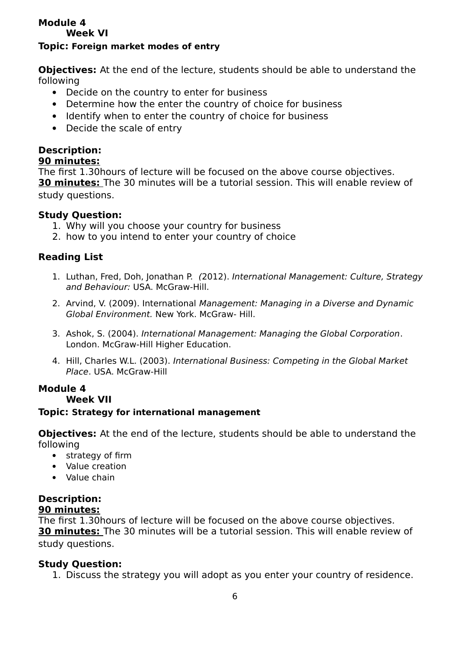#### **Module 4 Week VI**

#### **Topic: Foreign market modes of entry**

**Objectives:** At the end of the lecture, students should be able to understand the following

- Decide on the country to enter for business
- Determine how the enter the country of choice for business
- Identify when to enter the country of choice for business
- Decide the scale of entry

## **Description:**

#### **90 minutes:**

The first 1.30hours of lecture will be focused on the above course objectives. **30 minutes:** The 30 minutes will be a tutorial session. This will enable review of study questions.

#### **Study Question:**

- 1. Why will you choose your country for business
- 2. how to you intend to enter your country of choice

## **Reading List**

- 1. Luthan, Fred, Doh, Jonathan P. (2012). International Management: Culture, Strategy and Behaviour: USA. McGraw-Hill.
- 2. Arvind, V. (2009). International Management: Managing in a Diverse and Dynamic Global Environment. New York. McGraw- Hill.
- 3. Ashok, S. (2004). International Management: Managing the Global Corporation. London. McGraw-Hill Higher Education.
- 4. Hill, Charles W.L. (2003). International Business: Competing in the Global Market Place. USA. McGraw-Hill

## **Module 4**

#### **Week VII**

#### **Topic: Strategy for international management**

**Objectives:** At the end of the lecture, students should be able to understand the following

- strategy of firm
- Value creation
- Value chain

# **Description:**

## **90 minutes:**

The first 1.30hours of lecture will be focused on the above course objectives. **30 minutes:** The 30 minutes will be a tutorial session. This will enable review of study questions.

## **Study Question:**

1. Discuss the strategy you will adopt as you enter your country of residence.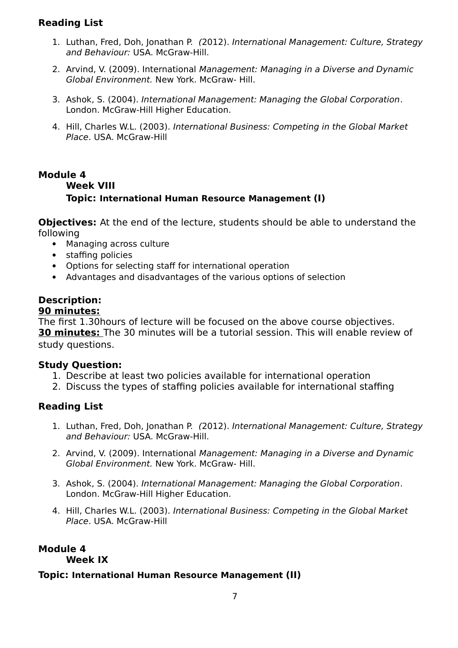## **Reading List**

- 1. Luthan, Fred, Doh, Jonathan P. (2012). International Management: Culture, Strategy and Behaviour: USA. McGraw-Hill.
- 2. Arvind, V. (2009). International Management: Managing in a Diverse and Dynamic Global Environment. New York. McGraw- Hill.
- 3. Ashok, S. (2004). International Management: Managing the Global Corporation. London. McGraw-Hill Higher Education.
- 4. Hill, Charles W.L. (2003). International Business: Competing in the Global Market Place. USA. McGraw-Hill

#### **Module 4 Week VIII Topic: International Human Resource Management (I)**

**Objectives:** At the end of the lecture, students should be able to understand the following

- Managing across culture
- staffing policies
- Options for selecting staff for international operation
- Advantages and disadvantages of the various options of selection

## **Description:**

#### **90 minutes:**

The first 1.30hours of lecture will be focused on the above course objectives. **30 minutes:** The 30 minutes will be a tutorial session. This will enable review of study questions.

#### **Study Question:**

- 1. Describe at least two policies available for international operation
- 2. Discuss the types of staffing policies available for international staffing

#### **Reading List**

- 1. Luthan, Fred, Doh, Jonathan P. (2012). International Management: Culture, Strategy and Behaviour: USA. McGraw-Hill.
- 2. Arvind, V. (2009). International Management: Managing in a Diverse and Dynamic Global Environment. New York. McGraw- Hill.
- 3. Ashok, S. (2004). International Management: Managing the Global Corporation. London. McGraw-Hill Higher Education.
- 4. Hill, Charles W.L. (2003). International Business: Competing in the Global Market Place. USA. McGraw-Hill

## **Module 4**

#### **Week IX**

#### **Topic: International Human Resource Management (II)**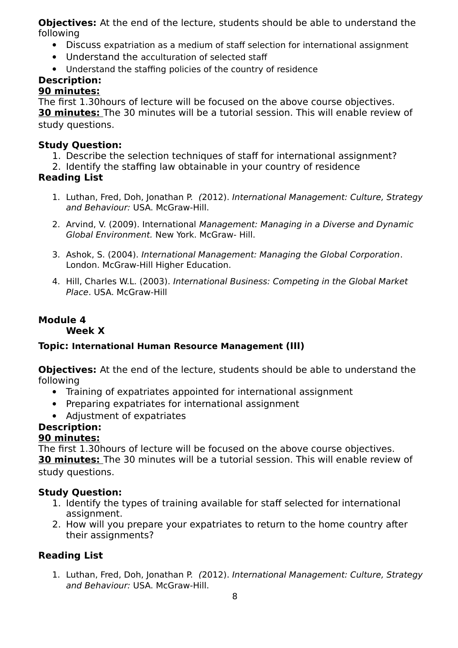**Objectives:** At the end of the lecture, students should be able to understand the following

- Discuss expatriation as a medium of staff selection for international assignment
- Understand the acculturation of selected staff
- Understand the staffing policies of the country of residence

# **Description:**

## **90 minutes:**

The first 1.30hours of lecture will be focused on the above course objectives. **30 minutes:** The 30 minutes will be a tutorial session. This will enable review of study questions.

## **Study Question:**

- 1. Describe the selection techniques of staff for international assignment?
- 2. Identify the staffing law obtainable in your country of residence

## **Reading List**

- 1. Luthan, Fred, Doh, Jonathan P. (2012). International Management: Culture, Strategy and Behaviour: USA. McGraw-Hill.
- 2. Arvind, V. (2009). International Management: Managing in a Diverse and Dynamic Global Environment. New York. McGraw- Hill.
- 3. Ashok, S. (2004). International Management: Managing the Global Corporation. London. McGraw-Hill Higher Education.
- 4. Hill, Charles W.L. (2003). International Business: Competing in the Global Market Place. USA. McGraw-Hill

## **Module 4**

**Week X**

## **Topic: International Human Resource Management (III)**

**Objectives:** At the end of the lecture, students should be able to understand the following

- Training of expatriates appointed for international assignment
- Preparing expatriates for international assignment
- Adjustment of expatriates

# **Description:**

## **90 minutes:**

The first 1.30hours of lecture will be focused on the above course objectives. **30 minutes:** The 30 minutes will be a tutorial session. This will enable review of

study questions.

## **Study Question:**

- 1. Identify the types of training available for staff selected for international assignment.
- 2. How will you prepare your expatriates to return to the home country after their assignments?

## **Reading List**

1. Luthan, Fred, Doh, Jonathan P. (2012). International Management: Culture, Strategy and Behaviour: USA. McGraw-Hill.